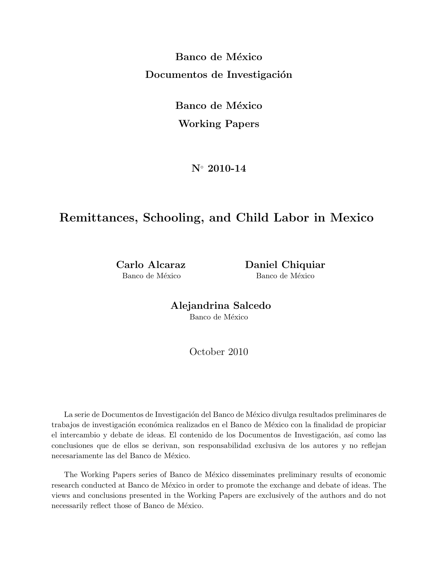Banco de México Documentos de Investigación

> Banco de México Working Papers

> > N◦ 2010-14

# Remittances, Schooling, and Child Labor in Mexico

Carlo Alcaraz Daniel Chiquiar Banco de México Banco de México

> Alejandrina Salcedo Banco de México

> > October 2010

La serie de Documentos de Investigación del Banco de México divulga resultados preliminares de trabajos de investigación económica realizados en el Banco de México con la finalidad de propiciar el intercambio y debate de ideas. El contenido de los Documentos de Investigación, así como las conclusiones que de ellos se derivan, son responsabilidad exclusiva de los autores y no reflejan necesariamente las del Banco de México.

The Working Papers series of Banco de México disseminates preliminary results of economic research conducted at Banco de México in order to promote the exchange and debate of ideas. The views and conclusions presented in the Working Papers are exclusively of the authors and do not necessarily reflect those of Banco de México.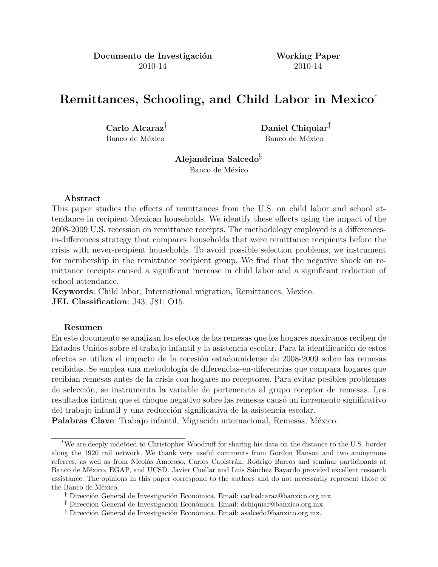Documento de Investigación Working Paper 2010-14 2010-14

# Remittances, Schooling, and Child Labor in Mexico\*

Carlo Alcaraz† Daniel Chiquiar‡ Banco de México Banco de México

> Alejandrina Salcedo§ Banco de México

#### Abstract

This paper studies the effects of remittances from the U.S. on child labor and school attendance in recipient Mexican households. We identify these effects using the impact of the 2008-2009 U.S. recession on remittance receipts. The methodology employed is a differencesin-differences strategy that compares households that were remittance recipients before the crisis with never-recipient households. To avoid possible selection problems, we instrument for membership in the remittance recipient group. We find that the negative shock on remittance receipts caused a significant increase in child labor and a significant reduction of school attendance.

Keywords: Child labor, International migration, Remittances, Mexico. JEL Classification: J43; J81; O15.

#### Resumen

En este documento se analizan los efectos de las remesas que los hogares mexicanos reciben de Estados Unidos sobre el trabajo infantil y la asistencia escolar. Para la identificación de estos efectos se utiliza el impacto de la recesión estadounidense de 2008-2009 sobre las remesas recibidas. Se emplea una metodología de diferencias-en-diferencias que compara hogares que recibían remesas antes de la crisis con hogares no receptores. Para evitar posibles problemas de selección, se instrumenta la variable de pertenencia al grupo receptor de remesas. Los resultados indican que el choque negativo sobre las remesas causó un incremento significativo del trabajo infantil y una reducción significativa de la asistencia escolar.

Palabras Clave: Trabajo infantil, Migración internacional, Remesas, México.

<sup>\*</sup>We are deeply indebted to Christopher Woodruff for sharing his data on the distance to the U.S. border along the 1920 rail network. We thank very useful comments from Gordon Hanson and two anonymous referees, as well as from Nicolás Amoroso, Carlos Capistrán, Rodrigo Barros and seminar participants at Banco de México, EGAP, and UCSD. Javier Cuellar and Luis Sánchez Bayardo provided excellent research assistance. The opinions in this paper correspond to the authors and do not necessarily represent those of the Banco de México.

Dirección General de Investigación Económica. Email: carloalcaraz@banxico.org.mx.

<sup>&</sup>lt;sup> $\ddagger$ </sup> Dirección General de Investigación Económica. Email: dchiquiar@banxico.org.mx.

 $\S$  Dirección General de Investigación Económica. Email: asalcedo@banxico.org.mx.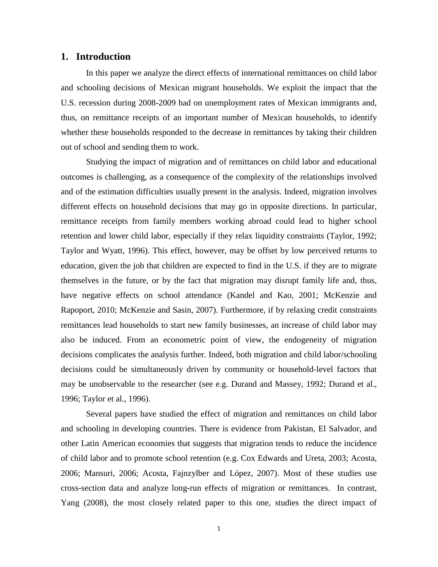#### **1. Introduction**

In this paper we analyze the direct effects of international remittances on child labor and schooling decisions of Mexican migrant households. We exploit the impact that the U.S. recession during 2008-2009 had on unemployment rates of Mexican immigrants and, thus, on remittance receipts of an important number of Mexican households, to identify whether these households responded to the decrease in remittances by taking their children out of school and sending them to work.

Studying the impact of migration and of remittances on child labor and educational outcomes is challenging, as a consequence of the complexity of the relationships involved and of the estimation difficulties usually present in the analysis. Indeed, migration involves different effects on household decisions that may go in opposite directions. In particular, remittance receipts from family members working abroad could lead to higher school retention and lower child labor, especially if they relax liquidity constraints (Taylor, 1992; Taylor and Wyatt, 1996). This effect, however, may be offset by low perceived returns to education, given the job that children are expected to find in the U.S. if they are to migrate themselves in the future, or by the fact that migration may disrupt family life and, thus, have negative effects on school attendance (Kandel and Kao, 2001; McKenzie and Rapoport, 2010; McKenzie and Sasin, 2007). Furthermore, if by relaxing credit constraints remittances lead households to start new family businesses, an increase of child labor may also be induced. From an econometric point of view, the endogeneity of migration decisions complicates the analysis further. Indeed, both migration and child labor/schooling decisions could be simultaneously driven by community or household-level factors that may be unobservable to the researcher (see e.g. Durand and Massey, 1992; Durand et al., 1996; Taylor et al., 1996).

Several papers have studied the effect of migration and remittances on child labor and schooling in developing countries. There is evidence from Pakistan, El Salvador, and other Latin American economies that suggests that migration tends to reduce the incidence of child labor and to promote school retention (e.g. Cox Edwards and Ureta, 2003; Acosta, 2006; Mansuri, 2006; Acosta, Fajnzylber and López, 2007). Most of these studies use cross-section data and analyze long-run effects of migration or remittances. In contrast, Yang (2008), the most closely related paper to this one, studies the direct impact of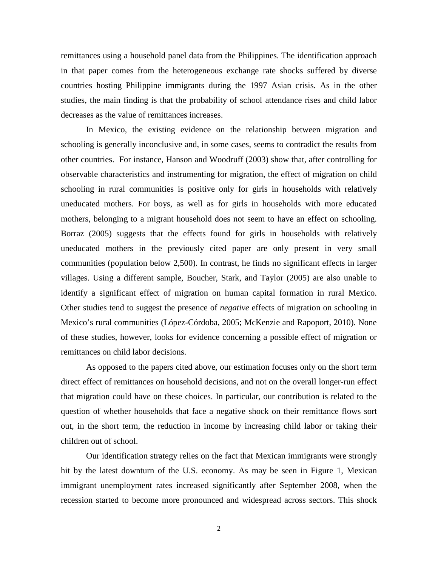remittances using a household panel data from the Philippines. The identification approach in that paper comes from the heterogeneous exchange rate shocks suffered by diverse countries hosting Philippine immigrants during the 1997 Asian crisis. As in the other studies, the main finding is that the probability of school attendance rises and child labor decreases as the value of remittances increases.

In Mexico, the existing evidence on the relationship between migration and schooling is generally inconclusive and, in some cases, seems to contradict the results from other countries. For instance, Hanson and Woodruff (2003) show that, after controlling for observable characteristics and instrumenting for migration, the effect of migration on child schooling in rural communities is positive only for girls in households with relatively uneducated mothers. For boys, as well as for girls in households with more educated mothers, belonging to a migrant household does not seem to have an effect on schooling. Borraz (2005) suggests that the effects found for girls in households with relatively uneducated mothers in the previously cited paper are only present in very small communities (population below 2,500). In contrast, he finds no significant effects in larger villages. Using a different sample, Boucher, Stark, and Taylor (2005) are also unable to identify a significant effect of migration on human capital formation in rural Mexico. Other studies tend to suggest the presence of *negative* effects of migration on schooling in Mexico's rural communities (López-Córdoba, 2005; McKenzie and Rapoport, 2010). None of these studies, however, looks for evidence concerning a possible effect of migration or remittances on child labor decisions.

As opposed to the papers cited above, our estimation focuses only on the short term direct effect of remittances on household decisions, and not on the overall longer-run effect that migration could have on these choices. In particular, our contribution is related to the question of whether households that face a negative shock on their remittance flows sort out, in the short term, the reduction in income by increasing child labor or taking their children out of school.

Our identification strategy relies on the fact that Mexican immigrants were strongly hit by the latest downturn of the U.S. economy. As may be seen in Figure 1, Mexican immigrant unemployment rates increased significantly after September 2008, when the recession started to become more pronounced and widespread across sectors. This shock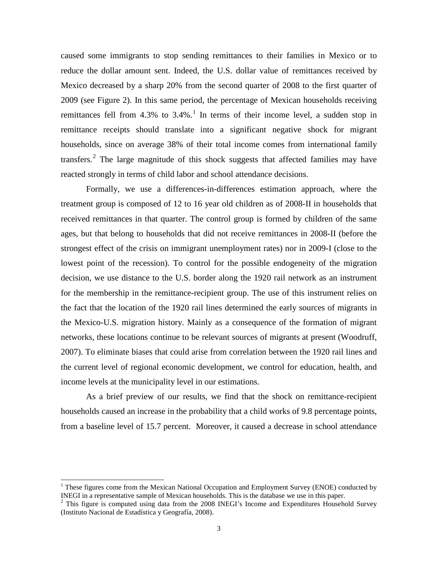caused some immigrants to stop sending remittances to their families in Mexico or to reduce the dollar amount sent. Indeed, the U.S. dollar value of remittances received by Mexico decreased by a sharp 20% from the second quarter of 2008 to the first quarter of 2009 (see Figure 2). In this same period, the percentage of Mexican households receiving remittances fell from  $4.3\%$  to  $3.4\%$ .<sup>[1](#page-4-0)</sup> In terms of their income level, a sudden stop in remittance receipts should translate into a significant negative shock for migrant households, since on average 38% of their total income comes from international family transfers.<sup>[2](#page-4-1)</sup> The large magnitude of this shock suggests that affected families may have reacted strongly in terms of child labor and school attendance decisions.

Formally, we use a differences-in-differences estimation approach, where the treatment group is composed of 12 to 16 year old children as of 2008-II in households that received remittances in that quarter. The control group is formed by children of the same ages, but that belong to households that did not receive remittances in 2008-II (before the strongest effect of the crisis on immigrant unemployment rates) nor in 2009-I (close to the lowest point of the recession). To control for the possible endogeneity of the migration decision, we use distance to the U.S. border along the 1920 rail network as an instrument for the membership in the remittance-recipient group. The use of this instrument relies on the fact that the location of the 1920 rail lines determined the early sources of migrants in the Mexico-U.S. migration history. Mainly as a consequence of the formation of migrant networks, these locations continue to be relevant sources of migrants at present (Woodruff, 2007). To eliminate biases that could arise from correlation between the 1920 rail lines and the current level of regional economic development, we control for education, health, and income levels at the municipality level in our estimations.

As a brief preview of our results, we find that the shock on remittance-recipient households caused an increase in the probability that a child works of 9.8 percentage points, from a baseline level of 15.7 percent. Moreover, it caused a decrease in school attendance

<span id="page-4-0"></span><sup>&</sup>lt;sup>1</sup> These figures come from the Mexican National Occupation and Employment Survey (ENOE) conducted by INEGI in a representative sample of Mexican households. This is the database we use in this paper.

<span id="page-4-1"></span> $<sup>2</sup>$  This figure is computed using data from the 2008 INEGI's Income and Expenditures Household Survey.</sup> (Instituto Nacional de Estadística y Geografía, 2008).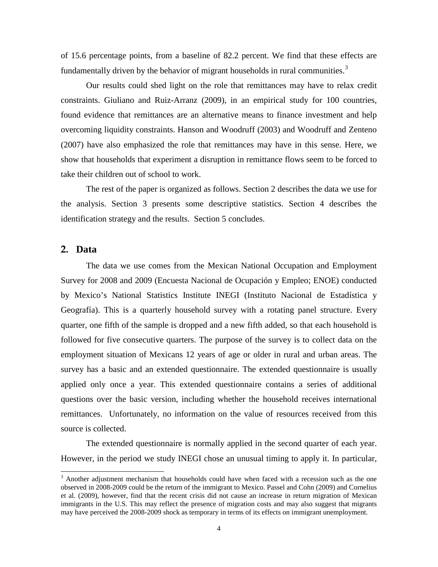of 15.6 percentage points, from a baseline of 82.2 percent. We find that these effects are fundamentally driven by the behavior of migrant households in rural communities.<sup>[3](#page-5-0)</sup>

Our results could shed light on the role that remittances may have to relax credit constraints. Giuliano and Ruiz-Arranz (2009), in an empirical study for 100 countries, found evidence that remittances are an alternative means to finance investment and help overcoming liquidity constraints. Hanson and Woodruff (2003) and Woodruff and Zenteno (2007) have also emphasized the role that remittances may have in this sense. Here, we show that households that experiment a disruption in remittance flows seem to be forced to take their children out of school to work.

The rest of the paper is organized as follows. Section 2 describes the data we use for the analysis. Section 3 presents some descriptive statistics. Section 4 describes the identification strategy and the results. Section 5 concludes.

#### **2. Data**

The data we use comes from the Mexican National Occupation and Employment Survey for 2008 and 2009 (Encuesta Nacional de Ocupación y Empleo; ENOE) conducted by Mexico's National Statistics Institute INEGI (Instituto Nacional de Estadística y Geografía). This is a quarterly household survey with a rotating panel structure. Every quarter, one fifth of the sample is dropped and a new fifth added, so that each household is followed for five consecutive quarters. The purpose of the survey is to collect data on the employment situation of Mexicans 12 years of age or older in rural and urban areas. The survey has a basic and an extended questionnaire. The extended questionnaire is usually applied only once a year. This extended questionnaire contains a series of additional questions over the basic version, including whether the household receives international remittances. Unfortunately, no information on the value of resources received from this source is collected.

The extended questionnaire is normally applied in the second quarter of each year. However, in the period we study INEGI chose an unusual timing to apply it. In particular,

<span id="page-5-0"></span> $3$  Another adjustment mechanism that households could have when faced with a recession such as the one observed in 2008-2009 could be the return of the immigrant to Mexico. Passel and Cohn (2009) and Cornelius et al. (2009), however, find that the recent crisis did not cause an increase in return migration of Mexican immigrants in the U.S. This may reflect the presence of migration costs and may also suggest that migrants may have perceived the 2008-2009 shock as temporary in terms of its effects on immigrant unemployment.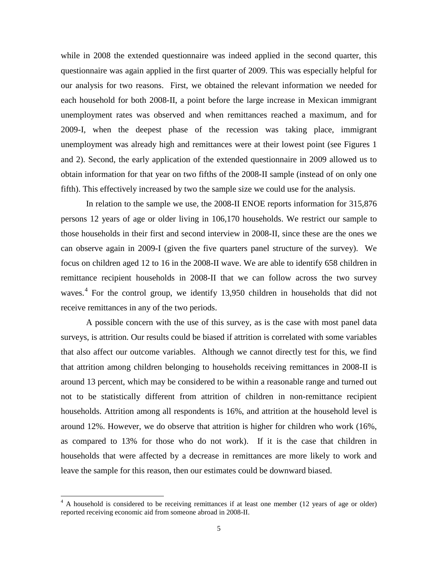while in 2008 the extended questionnaire was indeed applied in the second quarter, this questionnaire was again applied in the first quarter of 2009. This was especially helpful for our analysis for two reasons. First, we obtained the relevant information we needed for each household for both 2008-II, a point before the large increase in Mexican immigrant unemployment rates was observed and when remittances reached a maximum, and for 2009-I, when the deepest phase of the recession was taking place, immigrant unemployment was already high and remittances were at their lowest point (see Figures 1 and 2). Second, the early application of the extended questionnaire in 2009 allowed us to obtain information for that year on two fifths of the 2008-II sample (instead of on only one fifth). This effectively increased by two the sample size we could use for the analysis.

In relation to the sample we use, the 2008-II ENOE reports information for 315,876 persons 12 years of age or older living in 106,170 households. We restrict our sample to those households in their first and second interview in 2008-II, since these are the ones we can observe again in 2009-I (given the five quarters panel structure of the survey). We focus on children aged 12 to 16 in the 2008-II wave. We are able to identify 658 children in remittance recipient households in 2008-II that we can follow across the two survey waves.<sup>[4](#page-6-0)</sup> For the control group, we identify 13,950 children in households that did not receive remittances in any of the two periods.

A possible concern with the use of this survey, as is the case with most panel data surveys, is attrition. Our results could be biased if attrition is correlated with some variables that also affect our outcome variables. Although we cannot directly test for this, we find that attrition among children belonging to households receiving remittances in 2008-II is around 13 percent, which may be considered to be within a reasonable range and turned out not to be statistically different from attrition of children in non-remittance recipient households. Attrition among all respondents is 16%, and attrition at the household level is around 12%. However, we do observe that attrition is higher for children who work (16%, as compared to 13% for those who do not work). If it is the case that children in households that were affected by a decrease in remittances are more likely to work and leave the sample for this reason, then our estimates could be downward biased.

-

<span id="page-6-0"></span><sup>&</sup>lt;sup>4</sup> A household is considered to be receiving remittances if at least one member (12 years of age or older) reported receiving economic aid from someone abroad in 2008-II.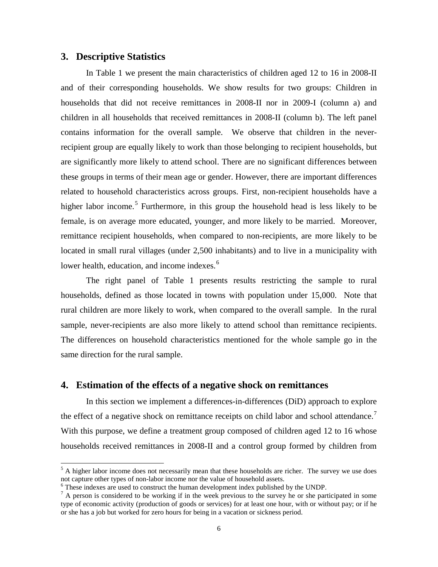#### **3. Descriptive Statistics**

-

In Table 1 we present the main characteristics of children aged 12 to 16 in 2008-II and of their corresponding households. We show results for two groups: Children in households that did not receive remittances in 2008-II nor in 2009-I (column a) and children in all households that received remittances in 2008-II (column b). The left panel contains information for the overall sample. We observe that children in the neverrecipient group are equally likely to work than those belonging to recipient households, but are significantly more likely to attend school. There are no significant differences between these groups in terms of their mean age or gender. However, there are important differences related to household characteristics across groups. First, non-recipient households have a higher labor income.<sup>[5](#page-7-0)</sup> Furthermore, in this group the household head is less likely to be female, is on average more educated, younger, and more likely to be married. Moreover, remittance recipient households, when compared to non-recipients, are more likely to be located in small rural villages (under 2,500 inhabitants) and to live in a municipality with lower health, education, and income indexes.<sup>[6](#page-7-1)</sup>

The right panel of Table 1 presents results restricting the sample to rural households, defined as those located in towns with population under 15,000. Note that rural children are more likely to work, when compared to the overall sample. In the rural sample, never-recipients are also more likely to attend school than remittance recipients. The differences on household characteristics mentioned for the whole sample go in the same direction for the rural sample.

#### **4. Estimation of the effects of a negative shock on remittances**

In this section we implement a differences-in-differences (DiD) approach to explore the effect of a negative shock on remittance receipts on child labor and school attendance.<sup>[7](#page-7-2)</sup> With this purpose, we define a treatment group composed of children aged 12 to 16 whose households received remittances in 2008-II and a control group formed by children from

<span id="page-7-0"></span> $<sup>5</sup>$  A higher labor income does not necessarily mean that these households are richer. The survey we use does</sup> not capture other types of non-labor income nor the value of household assets.

<span id="page-7-1"></span><sup>&</sup>lt;sup>6</sup> These indexes are used to construct the human development index published by the UNDP.

<span id="page-7-2"></span> $<sup>7</sup>$  A person is considered to be working if in the week previous to the survey he or she participated in some</sup> type of economic activity (production of goods or services) for at least one hour, with or without pay; or if he or she has a job but worked for zero hours for being in a vacation or sickness period.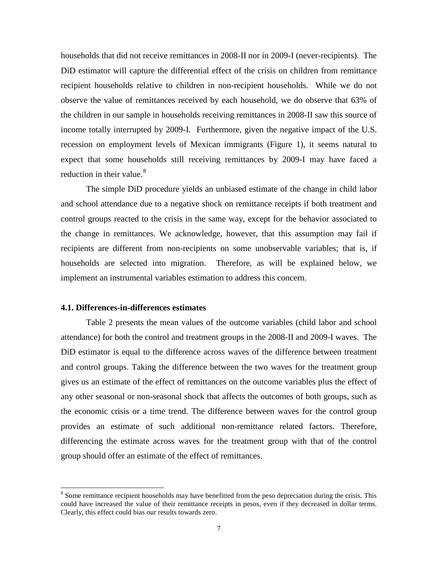households that did not receive remittances in 2008-II nor in 2009-I (never-recipients). The DiD estimator will capture the differential effect of the crisis on children from remittance recipient households relative to children in non-recipient households. While we do not observe the value of remittances received by each household, we do observe that 63% of the children in our sample in households receiving remittances in 2008-II saw this source of income totally interrupted by 2009-I. Furthermore, given the negative impact of the U.S. recession on employment levels of Mexican immigrants (Figure 1), it seems natural to expect that some households still receiving remittances by 2009-I may have faced a reduction in their value.<sup>[8](#page-8-0)</sup>

The simple DiD procedure yields an unbiased estimate of the change in child labor and school attendance due to a negative shock on remittance receipts if both treatment and control groups reacted to the crisis in the same way, except for the behavior associated to the change in remittances. We acknowledge, however, that this assumption may fail if recipients are different from non-recipients on some unobservable variables; that is, if households are selected into migration. Therefore, as will be explained below, we implement an instrumental variables estimation to address this concern.

#### **4.1. Differences-in-differences estimates**

Table 2 presents the mean values of the outcome variables (child labor and school attendance) for both the control and treatment groups in the 2008-II and 2009-I waves. The DiD estimator is equal to the difference across waves of the difference between treatment and control groups. Taking the difference between the two waves for the treatment group gives us an estimate of the effect of remittances on the outcome variables plus the effect of any other seasonal or non-seasonal shock that affects the outcomes of both groups, such as the economic crisis or a time trend. The difference between waves for the control group provides an estimate of such additional non-remittance related factors. Therefore, differencing the estimate across waves for the treatment group with that of the control group should offer an estimate of the effect of remittances.

<span id="page-8-0"></span><sup>&</sup>lt;sup>8</sup> Some remittance recipient households may have benefitted from the peso depreciation during the crisis. This could have increased the value of their remittance receipts in pesos, even if they decreased in dollar terms. Clearly, this effect could bias our results towards zero.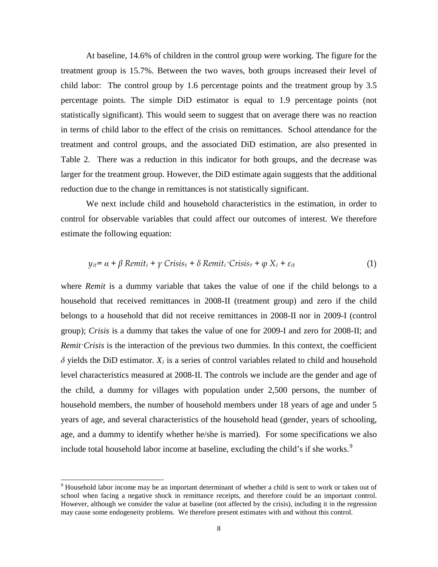At baseline, 14.6% of children in the control group were working. The figure for the treatment group is 15.7%. Between the two waves, both groups increased their level of child labor: The control group by 1.6 percentage points and the treatment group by 3.5 percentage points. The simple DiD estimator is equal to 1.9 percentage points (not statistically significant). This would seem to suggest that on average there was no reaction in terms of child labor to the effect of the crisis on remittances. School attendance for the treatment and control groups, and the associated DiD estimation, are also presented in Table 2. There was a reduction in this indicator for both groups, and the decrease was larger for the treatment group. However, the DiD estimate again suggests that the additional reduction due to the change in remittances is not statistically significant.

We next include child and household characteristics in the estimation, in order to control for observable variables that could affect our outcomes of interest. We therefore estimate the following equation:

$$
y_{it} = \alpha + \beta \text{ Remit}_i + \gamma \text{ Crisis}_t + \delta \text{Remit}_i \cdot \text{Crisis}_t + \varphi \text{ X}_i + \varepsilon_{it} \tag{1}
$$

where *Remit* is a dummy variable that takes the value of one if the child belongs to a household that received remittances in 2008-II (treatment group) and zero if the child belongs to a household that did not receive remittances in 2008-II nor in 2009-I (control group); *Crisis* is a dummy that takes the value of one for 2009-I and zero for 2008-II; and *Remit·Crisis* is the interaction of the previous two dummies. In this context, the coefficient  $\delta$  yields the DiD estimator.  $X_i$  is a series of control variables related to child and household level characteristics measured at 2008-II. The controls we include are the gender and age of the child, a dummy for villages with population under 2,500 persons, the number of household members, the number of household members under 18 years of age and under 5 years of age, and several characteristics of the household head (gender, years of schooling, age, and a dummy to identify whether he/she is married). For some specifications we also include total household labor income at baseline, excluding the child's if she works.<sup>[9](#page-9-0)</sup>

<span id="page-9-0"></span><sup>9</sup> Household labor income may be an important determinant of whether a child is sent to work or taken out of school when facing a negative shock in remittance receipts, and therefore could be an important control. However, although we consider the value at baseline (not affected by the crisis), including it in the regression may cause some endogeneity problems. We therefore present estimates with and without this control.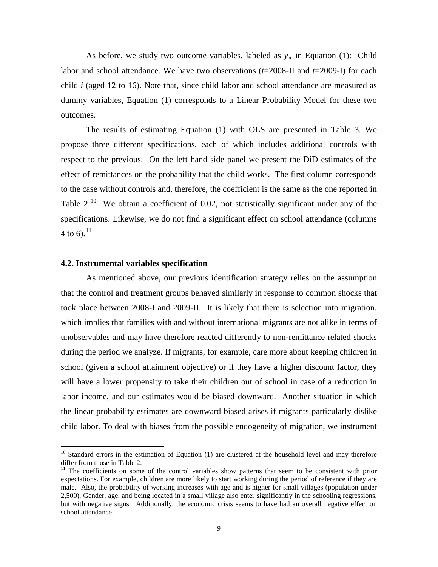As before, we study two outcome variables, labeled as  $y_{it}$  in Equation (1): Child labor and school attendance. We have two observations (*t*=2008-II and *t*=2009-I) for each child *i* (aged 12 to 16). Note that, since child labor and school attendance are measured as dummy variables, Equation (1) corresponds to a Linear Probability Model for these two outcomes.

The results of estimating Equation (1) with OLS are presented in Table 3. We propose three different specifications, each of which includes additional controls with respect to the previous. On the left hand side panel we present the DiD estimates of the effect of remittances on the probability that the child works. The first column corresponds to the case without controls and, therefore, the coefficient is the same as the one reported in Table 2.<sup>10</sup> We obtain a coefficient of 0.02, not statistically significant under any of the specifications. Likewise, we do not find a significant effect on school attendance (columns 4 to 6).<sup>[11](#page-10-1)</sup>

#### **4.2. Instrumental variables specification**

-

As mentioned above, our previous identification strategy relies on the assumption that the control and treatment groups behaved similarly in response to common shocks that took place between 2008-I and 2009-II. It is likely that there is selection into migration, which implies that families with and without international migrants are not alike in terms of unobservables and may have therefore reacted differently to non-remittance related shocks during the period we analyze. If migrants, for example, care more about keeping children in school (given a school attainment objective) or if they have a higher discount factor, they will have a lower propensity to take their children out of school in case of a reduction in labor income, and our estimates would be biased downward. Another situation in which the linear probability estimates are downward biased arises if migrants particularly dislike child labor. To deal with biases from the possible endogeneity of migration, we instrument

<span id="page-10-0"></span> $10$  Standard errors in the estimation of Equation (1) are clustered at the household level and may therefore differ from those in Table 2.

<span id="page-10-1"></span> $11$  The coefficients on some of the control variables show patterns that seem to be consistent with prior expectations. For example, children are more likely to start working during the period of reference if they are male. Also, the probability of working increases with age and is higher for small villages (population under 2,500). Gender, age, and being located in a small village also enter significantly in the schooling regressions, but with negative signs. Additionally, the economic crisis seems to have had an overall negative effect on school attendance.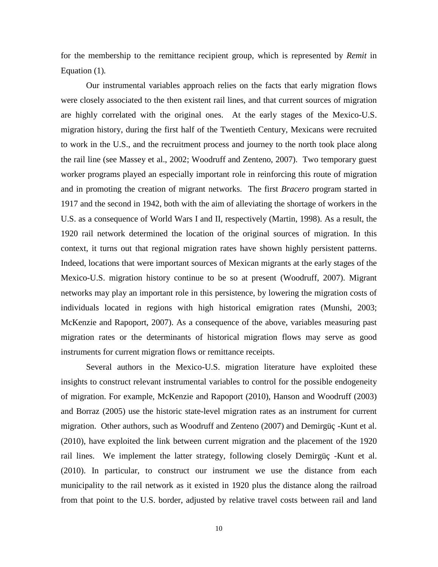for the membership to the remittance recipient group, which is represented by *Remit* in Equation (1)*.*

Our instrumental variables approach relies on the facts that early migration flows were closely associated to the then existent rail lines, and that current sources of migration are highly correlated with the original ones. At the early stages of the Mexico-U.S. migration history, during the first half of the Twentieth Century, Mexicans were recruited to work in the U.S., and the recruitment process and journey to the north took place along the rail line (see Massey et al., 2002; Woodruff and Zenteno, 2007). Two temporary guest worker programs played an especially important role in reinforcing this route of migration and in promoting the creation of migrant networks. The first *Bracero* program started in 1917 and the second in 1942, both with the aim of alleviating the shortage of workers in the U.S. as a consequence of World Wars I and II, respectively (Martin, 1998). As a result, the 1920 rail network determined the location of the original sources of migration. In this context, it turns out that regional migration rates have shown highly persistent patterns. Indeed, locations that were important sources of Mexican migrants at the early stages of the Mexico-U.S. migration history continue to be so at present (Woodruff, 2007). Migrant networks may play an important role in this persistence, by lowering the migration costs of individuals located in regions with high historical emigration rates (Munshi, 2003; McKenzie and Rapoport, 2007). As a consequence of the above, variables measuring past migration rates or the determinants of historical migration flows may serve as good instruments for current migration flows or remittance receipts.

Several authors in the Mexico-U.S. migration literature have exploited these insights to construct relevant instrumental variables to control for the possible endogeneity of migration. For example, McKenzie and Rapoport (2010), Hanson and Woodruff (2003) and Borraz (2005) use the historic state-level migration rates as an instrument for current migration. Other authors, such as Woodruff and Zenteno (2007) and Demirgüç -Kunt et al. (2010), have exploited the link between current migration and the placement of the 1920 rail lines. We implement the latter strategy, following closely Demirgüç -Kunt et al. (2010). In particular, to construct our instrument we use the distance from each municipality to the rail network as it existed in 1920 plus the distance along the railroad from that point to the U.S. border, adjusted by relative travel costs between rail and land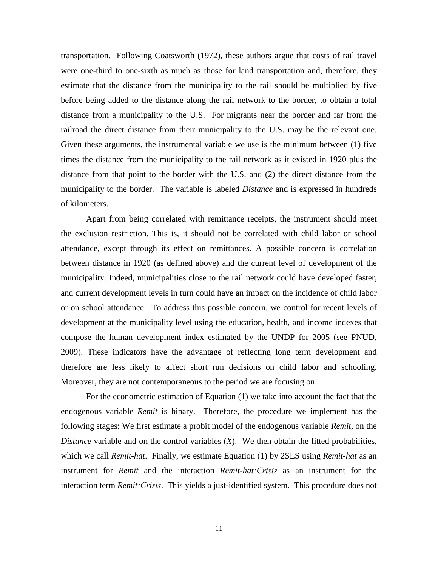transportation. Following Coatsworth (1972), these authors argue that costs of rail travel were one-third to one-sixth as much as those for land transportation and, therefore, they estimate that the distance from the municipality to the rail should be multiplied by five before being added to the distance along the rail network to the border, to obtain a total distance from a municipality to the U.S. For migrants near the border and far from the railroad the direct distance from their municipality to the U.S. may be the relevant one. Given these arguments, the instrumental variable we use is the minimum between (1) five times the distance from the municipality to the rail network as it existed in 1920 plus the distance from that point to the border with the U.S. and (2) the direct distance from the municipality to the border. The variable is labeled *Distance* and is expressed in hundreds of kilometers.

Apart from being correlated with remittance receipts, the instrument should meet the exclusion restriction. This is, it should not be correlated with child labor or school attendance, except through its effect on remittances. A possible concern is correlation between distance in 1920 (as defined above) and the current level of development of the municipality. Indeed, municipalities close to the rail network could have developed faster, and current development levels in turn could have an impact on the incidence of child labor or on school attendance. To address this possible concern, we control for recent levels of development at the municipality level using the education, health, and income indexes that compose the human development index estimated by the UNDP for 2005 (see PNUD, 2009). These indicators have the advantage of reflecting long term development and therefore are less likely to affect short run decisions on child labor and schooling. Moreover, they are not contemporaneous to the period we are focusing on.

For the econometric estimation of Equation (1) we take into account the fact that the endogenous variable *Remit* is binary. Therefore, the procedure we implement has the following stages: We first estimate a probit model of the endogenous variable *Remit*, on the *Distance* variable and on the control variables (*X*). We then obtain the fitted probabilities, which we call *Remit-hat*. Finally, we estimate Equation (1) by 2SLS using *Remit-hat* as an instrument for *Remit* and the interaction *Remit-hat·Crisis* as an instrument for the interaction term *Remit·Crisis*. This yields a just-identified system. This procedure does not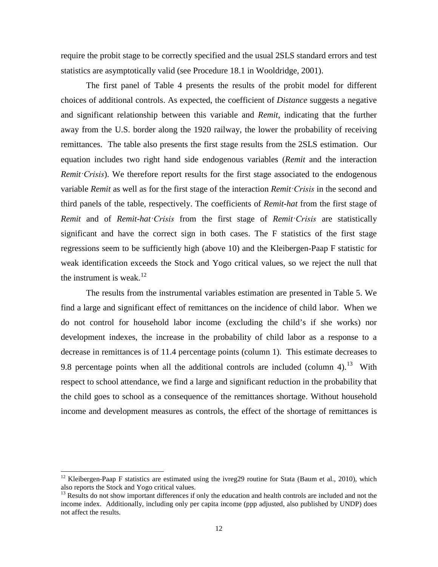require the probit stage to be correctly specified and the usual 2SLS standard errors and test statistics are asymptotically valid (see Procedure 18.1 in Wooldridge, 2001).

The first panel of Table 4 presents the results of the probit model for different choices of additional controls. As expected, the coefficient of *Distance* suggests a negative and significant relationship between this variable and *Remit*, indicating that the further away from the U.S. border along the 1920 railway, the lower the probability of receiving remittances. The table also presents the first stage results from the 2SLS estimation. Our equation includes two right hand side endogenous variables (*Remit* and the interaction *Remit·Crisis*). We therefore report results for the first stage associated to the endogenous variable *Remit* as well as for the first stage of the interaction *Remit·Crisis* in the second and third panels of the table, respectively. The coefficients of *Remit-hat* from the first stage of *Remit* and of *Remit-hat·Crisis* from the first stage of *Remit·Crisis* are statistically significant and have the correct sign in both cases. The F statistics of the first stage regressions seem to be sufficiently high (above 10) and the Kleibergen-Paap F statistic for weak identification exceeds the Stock and Yogo critical values, so we reject the null that the instrument is weak.<sup>[12](#page-13-0)</sup>

The results from the instrumental variables estimation are presented in Table 5. We find a large and significant effect of remittances on the incidence of child labor. When we do not control for household labor income (excluding the child's if she works) nor development indexes, the increase in the probability of child labor as a response to a decrease in remittances is of 11.4 percentage points (column 1). This estimate decreases to 9.8 percentage points when all the additional controls are included (column  $4$ ).<sup>[13](#page-13-1)</sup> With respect to school attendance, we find a large and significant reduction in the probability that the child goes to school as a consequence of the remittances shortage. Without household income and development measures as controls, the effect of the shortage of remittances is

<span id="page-13-0"></span> $12$  Kleibergen-Paap F statistics are estimated using the ivreg29 routine for Stata (Baum et al., 2010), which also reports the Stock and Yogo critical values.

<span id="page-13-1"></span><sup>&</sup>lt;sup>13</sup> Results do not show important differences if only the education and health controls are included and not the income index. Additionally, including only per capita income (ppp adjusted, also published by UNDP) does not affect the results.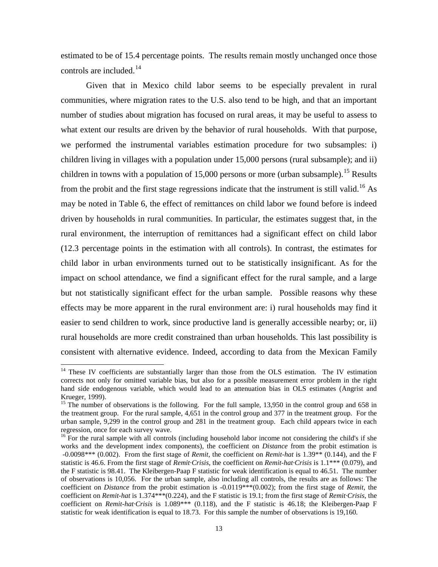estimated to be of 15.4 percentage points. The results remain mostly unchanged once those controls are included. [14](#page-14-0)

Given that in Mexico child labor seems to be especially prevalent in rural communities, where migration rates to the U.S. also tend to be high, and that an important number of studies about migration has focused on rural areas, it may be useful to assess to what extent our results are driven by the behavior of rural households. With that purpose, we performed the instrumental variables estimation procedure for two subsamples: i) children living in villages with a population under 15,000 persons (rural subsample); and ii) children in towns with a population of [15](#page-14-1),000 persons or more (urban subsample).<sup>15</sup> Results from the probit and the first stage regressions indicate that the instrument is still valid.<sup>[16](#page-14-2)</sup> As may be noted in Table 6, the effect of remittances on child labor we found before is indeed driven by households in rural communities. In particular, the estimates suggest that, in the rural environment, the interruption of remittances had a significant effect on child labor (12.3 percentage points in the estimation with all controls). In contrast, the estimates for child labor in urban environments turned out to be statistically insignificant. As for the impact on school attendance, we find a significant effect for the rural sample, and a large but not statistically significant effect for the urban sample. Possible reasons why these effects may be more apparent in the rural environment are: i) rural households may find it easier to send children to work, since productive land is generally accessible nearby; or, ii) rural households are more credit constrained than urban households. This last possibility is consistent with alternative evidence. Indeed, according to data from the Mexican Family

-

<span id="page-14-0"></span><sup>&</sup>lt;sup>14</sup> These IV coefficients are substantially larger than those from the OLS estimation. The IV estimation corrects not only for omitted variable bias, but also for a possible measurement error problem in the right hand side endogenous variable, which would lead to an attenuation bias in OLS estimates (Angrist and Krueger, 1999).

<span id="page-14-1"></span><sup>&</sup>lt;sup>15</sup> The number of observations is the following. For the full sample, 13,950 in the control group and 658 in the treatment group. For the rural sample, 4,651 in the control group and 377 in the treatment group. For the urban sample, 9,299 in the control group and 281 in the treatment group. Each child appears twice in each regression, once for each survey wave.

<span id="page-14-2"></span> $16$  For the rural sample with all controls (including household labor income not considering the child's if she works and the development index components), the coefficient on *Distance* from the probit estimation is -0.0098\*\*\* (0.002). From the first stage of *Remit*, the coefficient on *Remit-hat* is 1.39\*\* (0.144), and the F statistic is 46.6. From the first stage of *Remit·Crisis*, the coefficient on *Remit-hat·Crisis* is 1.1\*\*\* (0.079), and the F statistic is 98.41. The Kleibergen-Paap F statistic for weak identification is equal to 46.51. The number of observations is 10,056. For the urban sample, also including all controls, the results are as follows: The coefficient on *Distance* from the probit estimation is -0.0119\*\*\*(0.002); from the first stage of *Remit*, the coefficient on *Remit-hat* is 1.374\*\*\*(0.224), and the F statistic is 19.1; from the first stage of *Remit·Crisis*, the coefficient on *Remit-hat·Crisis* is 1.089\*\*\* (0.118), and the F statistic is 46.18; the Kleibergen-Paap F statistic for weak identification is equal to 18.73. For this sample the number of observations is 19,160.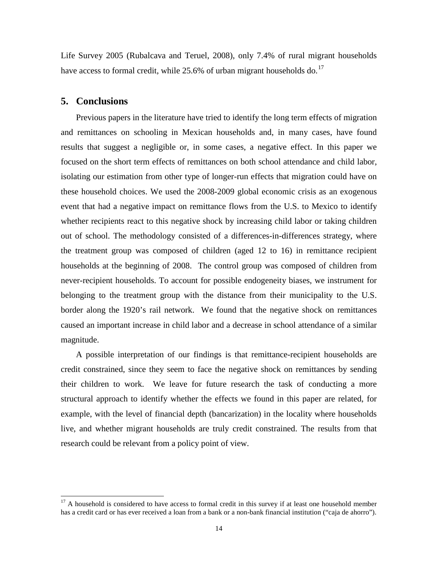Life Survey 2005 (Rubalcava and Teruel, 2008), only 7.4% of rural migrant households have access to formal credit, while  $25.6\%$  of urban migrant households do.<sup>[17](#page-15-0)</sup>

#### **5. Conclusions**

-

Previous papers in the literature have tried to identify the long term effects of migration and remittances on schooling in Mexican households and, in many cases, have found results that suggest a negligible or, in some cases, a negative effect. In this paper we focused on the short term effects of remittances on both school attendance and child labor, isolating our estimation from other type of longer-run effects that migration could have on these household choices. We used the 2008-2009 global economic crisis as an exogenous event that had a negative impact on remittance flows from the U.S. to Mexico to identify whether recipients react to this negative shock by increasing child labor or taking children out of school. The methodology consisted of a differences-in-differences strategy, where the treatment group was composed of children (aged 12 to 16) in remittance recipient households at the beginning of 2008. The control group was composed of children from never-recipient households. To account for possible endogeneity biases, we instrument for belonging to the treatment group with the distance from their municipality to the U.S. border along the 1920's rail network. We found that the negative shock on remittances caused an important increase in child labor and a decrease in school attendance of a similar magnitude.

A possible interpretation of our findings is that remittance-recipient households are credit constrained, since they seem to face the negative shock on remittances by sending their children to work. We leave for future research the task of conducting a more structural approach to identify whether the effects we found in this paper are related, for example, with the level of financial depth (bancarization) in the locality where households live, and whether migrant households are truly credit constrained. The results from that research could be relevant from a policy point of view.

<span id="page-15-0"></span> $17$  A household is considered to have access to formal credit in this survey if at least one household member has a credit card or has ever received a loan from a bank or a non-bank financial institution ("caja de ahorro").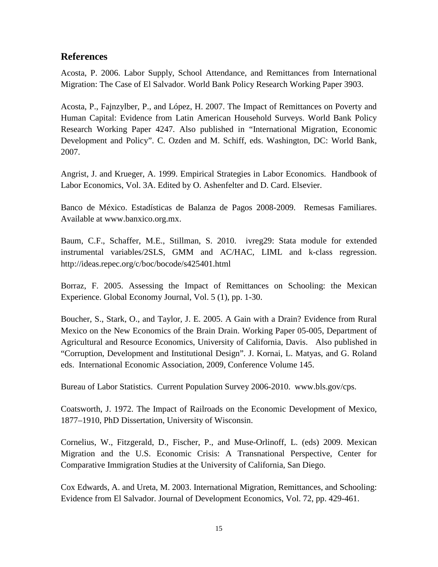## **References**

Acosta, P. 2006. Labor Supply, School Attendance, and Remittances from International Migration: The Case of El Salvador. World Bank Policy Research Working Paper 3903.

Acosta, P., Fajnzylber, P., and López, H. 2007. The Impact of Remittances on Poverty and Human Capital: Evidence from Latin American Household Surveys. World Bank Policy Research Working Paper 4247. Also published in "International Migration, Economic Development and Policy". C. Ozden and M. Schiff, eds. Washington, DC: World Bank, 2007.

Angrist, J. and Krueger, A. 1999. Empirical Strategies in Labor Economics. Handbook of Labor Economics, Vol. 3A. Edited by O. Ashenfelter and D. Card. Elsevier.

Banco de México. Estadísticas de Balanza de Pagos 2008-2009. Remesas Familiares. Available at www.banxico.org.mx.

Baum, C.F., Schaffer, M.E., Stillman, S. 2010. ivreg29: Stata module for extended instrumental variables/2SLS, GMM and AC/HAC, LIML and k-class regression. http://ideas.repec.org/c/boc/bocode/s425401.html

Borraz, F. 2005. Assessing the Impact of Remittances on Schooling: the Mexican Experience. Global Economy Journal, Vol. 5 (1), pp. 1-30.

Boucher, S., Stark, O., and Taylor, J. E. 2005. A Gain with a Drain? Evidence from Rural Mexico on the New Economics of the Brain Drain. Working Paper 05-005, Department of Agricultural and Resource Economics, University of California, Davis. Also published in "Corruption, Development and Institutional Design". J. Kornai, L. Matyas, and G. Roland eds. International Economic Association, 2009, Conference Volume 145.

Bureau of Labor Statistics. Current Population Survey 2006-2010. www.bls.gov/cps.

Coatsworth, J. 1972. The Impact of Railroads on the Economic Development of Mexico, 1877–1910, PhD Dissertation, University of Wisconsin.

Cornelius, W., Fitzgerald, D., Fischer, P., and Muse-Orlinoff, L. (eds) 2009. Mexican Migration and the U.S. Economic Crisis: A Transnational Perspective, Center for Comparative Immigration Studies at the University of California, San Diego.

Cox Edwards, A. and Ureta, M. 2003. International Migration, Remittances, and Schooling: Evidence from El Salvador. Journal of Development Economics, Vol. 72, pp. 429-461.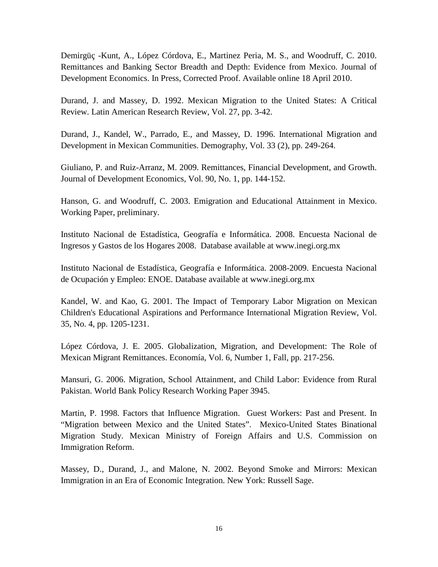Demirgüç -Kunt, A., López Córdova, E., Martinez Peria, M. S., and Woodruff, C. 2010. Remittances and Banking Sector Breadth and Depth: Evidence from Mexico. Journal of Development Economics. In Press, Corrected Proof. Available online 18 April 2010.

Durand, J. and Massey, D. 1992. Mexican Migration to the United States: A Critical Review. Latin American Research Review, Vol. 27, pp. 3-42.

Durand, J., Kandel, W., Parrado, E., and Massey, D. 1996. International Migration and Development in Mexican Communities. Demography, Vol. 33 (2), pp. 249-264.

Giuliano, P. and Ruiz-Arranz, M. 2009. Remittances, Financial Development, and Growth. Journal of Development Economics, Vol. 90, No. 1, pp. 144-152.

Hanson, G. and Woodruff, C. 2003. Emigration and Educational Attainment in Mexico. Working Paper, preliminary.

Instituto Nacional de Estadística, Geografía e Informática. 2008. Encuesta Nacional de Ingresos y Gastos de los Hogares 2008. Database available at www.inegi.org.mx

Instituto Nacional de Estadística, Geografía e Informática. 2008-2009. Encuesta Nacional de Ocupación y Empleo: ENOE. Database available at www.inegi.org.mx

Kandel, W. and Kao, G. 2001. The Impact of Temporary Labor Migration on Mexican Children's Educational Aspirations and Performance International Migration Review, Vol. 35, No. 4, pp. 1205-1231.

López Córdova, J. E. 2005. Globalization, Migration, and Development: The Role of Mexican Migrant Remittances. Economía, Vol. 6, Number 1, Fall, pp. 217-256.

Mansuri, G. 2006. Migration, School Attainment, and Child Labor: Evidence from Rural Pakistan. World Bank Policy Research Working Paper 3945.

Martin, P. 1998. Factors that Influence Migration. Guest Workers: Past and Present. In "Migration between Mexico and the United States". Mexico-United States Binational Migration Study. Mexican Ministry of Foreign Affairs and U.S. Commission on Immigration Reform.

Massey, D., Durand, J., and Malone, N. 2002. Beyond Smoke and Mirrors: Mexican Immigration in an Era of Economic Integration. New York: Russell Sage.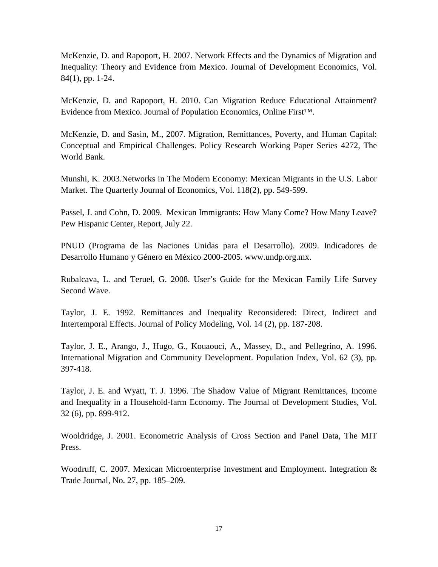McKenzie, D. and Rapoport, H. 2007. Network Effects and the Dynamics of Migration and Inequality: Theory and Evidence from Mexico. Journal of Development Economics, Vol. 84(1), pp. 1-24.

McKenzie, D. and Rapoport, H. 2010. Can Migration Reduce Educational Attainment? Evidence from Mexico. Journal of Population Economics, Online First™.

McKenzie, D. and Sasin, M., 2007. Migration, Remittances, Poverty, and Human Capital: Conceptual and Empirical Challenges. Policy Research Working Paper Series 4272, The World Bank.

Munshi, K. 2003.Networks in The Modern Economy: Mexican Migrants in the U.S. Labor Market. The Quarterly Journal of Economics, Vol. 118(2), pp. 549-599.

Passel, J. and Cohn, D. 2009. Mexican Immigrants: How Many Come? How Many Leave? Pew Hispanic Center, Report, July 22.

PNUD (Programa de las Naciones Unidas para el Desarrollo). 2009. Indicadores de Desarrollo Humano y Género en México 2000-2005. www.undp.org.mx.

Rubalcava, L. and Teruel, G. 2008. User's Guide for the Mexican Family Life Survey Second Wave.

Taylor, J. E. 1992. Remittances and Inequality Reconsidered: Direct, Indirect and Intertemporal Effects. Journal of Policy Modeling, Vol. 14 (2), pp. 187-208.

Taylor, J. E., Arango, J., Hugo, G., Kouaouci, A., Massey, D., and Pellegrino, A. 1996. International Migration and Community Development. Population Index, Vol. 62 (3), pp. 397-418.

Taylor, J. E. and Wyatt, T. J. 1996. The Shadow Value of Migrant Remittances, Income and Inequality in a Household-farm Economy. The Journal of Development Studies, Vol. 32 (6), pp. 899-912.

Wooldridge, J. 2001. Econometric Analysis of Cross Section and Panel Data, The MIT Press.

Woodruff, C. 2007. Mexican Microenterprise Investment and Employment. Integration & Trade Journal, No. 27, pp. 185–209.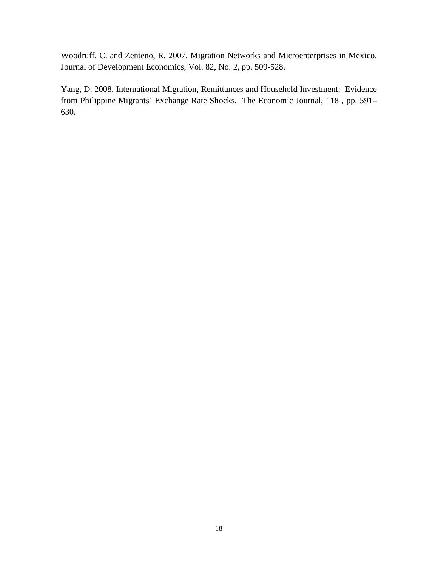Woodruff, C. and Zenteno, R. 2007. Migration Networks and Microenterprises in Mexico. Journal of Development Economics, Vol. 82, No. 2, pp. 509-528.

Yang, D. 2008. International Migration, Remittances and Household Investment: Evidence from Philippine Migrants' Exchange Rate Shocks. The Economic Journal, 118 , pp. 591– 630.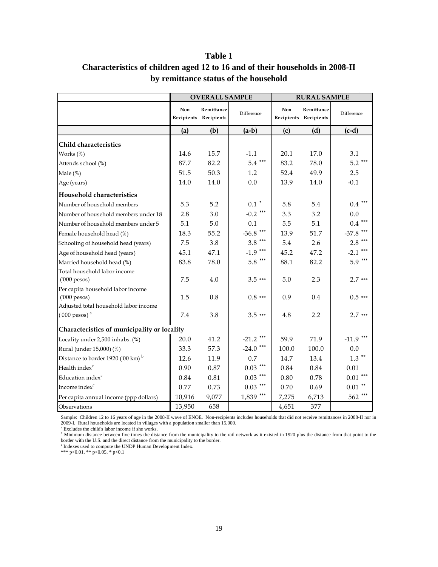|                                               |        | <b>OVERALL SAMPLE</b>               |                                        |       | <b>RURAL SAMPLE</b>                 |                      |
|-----------------------------------------------|--------|-------------------------------------|----------------------------------------|-------|-------------------------------------|----------------------|
|                                               | Non    | Remittance<br>Recipients Recipients | Difference                             | Non   | Remittance<br>Recipients Recipients | Difference           |
|                                               | (a)    | (b)                                 | $(a-b)$                                | (c)   | (d)                                 | $(c-d)$              |
| Child characteristics                         |        |                                     |                                        |       |                                     |                      |
| Works (%)                                     | 14.6   | 15.7                                | $-1.1$                                 | 20.1  | 17.0                                | 3.1                  |
| Attends school (%)                            | 87.7   | 82.2                                | ***<br>5.4                             | 83.2  | 78.0                                | $5.2$ ***            |
| Male $(\%)$                                   | 51.5   | 50.3                                | 1.2                                    | 52.4  | 49.9                                | 2.5                  |
| Age (years)                                   | 14.0   | 14.0                                | 0.0                                    | 13.9  | 14.0                                | $-0.1$               |
| Household characteristics                     |        |                                     |                                        |       |                                     |                      |
| Number of household members                   | 5.3    | 5.2                                 | $0.1$ $^{\ast}$                        | 5.8   | 5.4                                 | $0.4$ ***            |
| Number of household members under 18          | 2.8    | 3.0                                 | $-0.2$ ***                             | 3.3   | 3.2                                 | 0.0                  |
| Number of household members under 5           | 5.1    | 5.0                                 | 0.1                                    | 5.5   | 5.1                                 | $***$<br>$0.4\,$     |
| Female household head (%)                     | 18.3   | 55.2                                | $-36.8$ ***                            | 13.9  | 51.7                                | -37.8 ***            |
| Schooling of household head (years)           | 7.5    | 3.8                                 | $3.8***$                               | 5.4   | 2.6                                 | $2.8***$             |
| Age of household head (years)                 | 45.1   | 47.1                                | $-1.9$ ***                             | 45.2  | 47.2                                | $-2.1$ ***           |
| Married household head (%)                    | 83.8   | 78.0                                | $5.8$ ***                              | 88.1  | 82.2                                | $5.9***$             |
| Total household labor income                  |        |                                     |                                        |       |                                     |                      |
| $(000$ pesos)                                 | 7.5    | 4.0                                 | $3.5***$                               | 5.0   | 2.3                                 | $2.7***$             |
| Per capita household labor income             |        |                                     |                                        |       |                                     |                      |
| $(000$ pesos)                                 | 1.5    | 0.8                                 | $0.8$ ***                              | 0.9   | 0.4                                 | $0.5***$             |
| Adjusted total household labor income         |        |                                     |                                        |       |                                     |                      |
| $(000 \text{ pessoas})$ <sup>a</sup>          | 7.4    | 3.8                                 | $3.5***$                               | 4.8   | 2.2                                 | $2.7***$             |
| Characteristics of municipality or locality   |        |                                     |                                        |       |                                     |                      |
| Locality under 2,500 inhabs. (%)              | 20.0   | 41.2                                | ***<br>$-21.2$                         | 59.9  | 71.9                                | $-11.9$ ***          |
| Rural (under 15,000) (%)                      | 33.3   | 57.3                                | $-24.0$ ***                            | 100.0 | 100.0                               | 0.0                  |
| Distance to border 1920 ('00 km) <sup>b</sup> | 12.6   | 11.9                                | 0.7                                    | 14.7  | 13.4                                | $1.3$ **             |
| Health index <sup>c</sup>                     | 0.90   | 0.87                                | $0.03$ $\hspace{0.1cm}^{\ast\ast\ast}$ | 0.84  | 0.84                                | 0.01                 |
| Education index <sup>c</sup>                  | 0.84   | 0.81                                | $0.03$ ***                             | 0.80  | 0.78                                | $***$<br>0.01        |
| Income index <sup>c</sup>                     | 0.77   | 0.73                                | $***$<br>0.03                          | 0.70  | 0.69                                | $0.01$ $^{\ast\ast}$ |
| Per capita annual income (ppp dollars)        | 10,916 | 9,077                               | $1,839$ ***                            | 7,275 | 6,713                               | 562 ***              |
| Observations                                  | 13,950 | 658                                 |                                        | 4,651 | 377                                 |                      |

## **Table 1 Characteristics of children aged 12 to 16 and of their households in 2008-II by remittance status of the household**

Sample: Children 12 to 16 years of age in the 2008-II wave of ENOE. Non-recipients includes households that did not receive remittances in 2008-II nor in 2009-I. Rural households are located in villages with a population smaller than 15,000.  $a$  Excludes the child's labor income if she works.

<sup>b</sup> Minimum distance between five times the distance from the municipality to the rail network as it existed in 1920 plus the distance from that point to the

border with the U.S. and the direct distance from the municipality to the border.<br><sup>c</sup> Indexes used to compute the UNDP Human Development Index.

\*\*\* p<0.01, \*\* p<0.05, \* p<0.1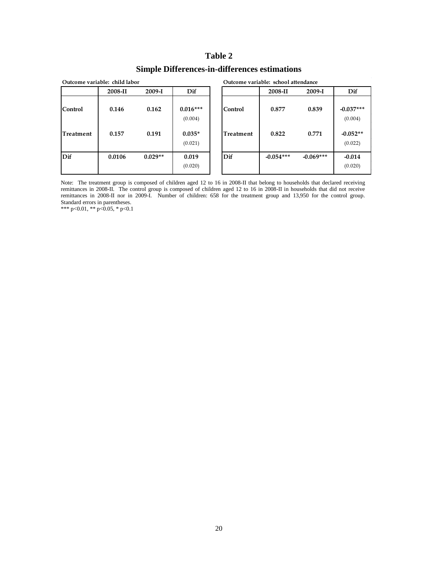### **Simple Differences-in-differences estimations**

|                      | Outcome variable: child labor |                |                                   |                      | Outcome variable: school attendance |                |                                      |
|----------------------|-------------------------------|----------------|-----------------------------------|----------------------|-------------------------------------|----------------|--------------------------------------|
|                      | 2008-II                       | 2009-I         | Dif                               |                      | 2008-II                             | $2009-I$       | Dif                                  |
| Control<br>Treatment | 0.146<br>0.157                | 0.162<br>0.191 | $0.016***$<br>(0.004)<br>$0.035*$ | Control<br>Treatment | 0.877<br>0.822                      | 0.839<br>0.771 | $-0.037***$<br>(0.004)<br>$-0.052**$ |
|                      |                               |                | (0.021)                           |                      |                                     |                | (0.022)                              |
| Dif                  | 0.0106                        | $0.029**$      | 0.019<br>(0.020)                  | Dif                  | $-0.054***$                         | $-0.069***$    | $-0.014$<br>(0.020)                  |

Note: The treatment group is composed of children aged 12 to 16 in 2008-II that belong to households that declared receiving remittances in 2008-II. The control group is composed of children aged 12 to 16 in 2008-II in households that did not receive remittances in 2008-II nor in 2009-I. Number of children: 658 for the treatment group and 13,950 for the control group. Standard errors in parentheses.

\*\*\* p<0.01, \*\* p<0.05, \* p<0.1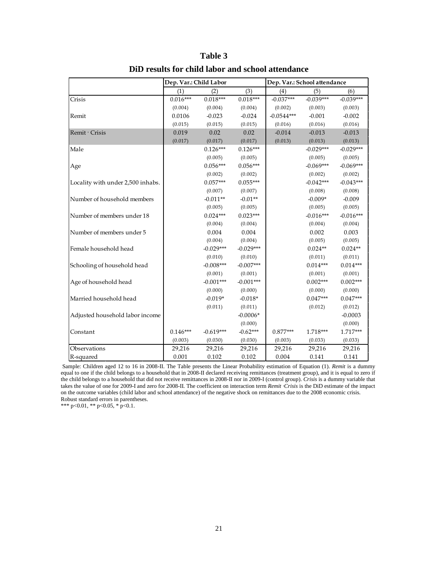|                                   | Dep. Var.: Child Labor |             |             | Dep. Var.: School attendance |             |             |
|-----------------------------------|------------------------|-------------|-------------|------------------------------|-------------|-------------|
|                                   | (1)                    | (2)         | (3)         | (4)                          | (5)         | (6)         |
| Crisis                            | $0.016***$             | $0.018***$  | $0.018***$  | $-0.037***$                  | $-0.039***$ | $-0.039***$ |
|                                   | (0.004)                | (0.004)     | (0.004)     | (0.002)                      | (0.003)     | (0.003)     |
| Remit                             | 0.0106                 | $-0.023$    | $-0.024$    | $-0.0544***$                 | $-0.001$    | $-0.002$    |
|                                   | (0.015)                | (0.015)     | (0.015)     | (0.016)                      | (0.016)     | (0.016)     |
| Remit Crisis                      | 0.019                  | 0.02        | 0.02        | $-0.014$                     | $-0.013$    | $-0.013$    |
|                                   | (0.017)                | (0.017)     | (0.017)     | (0.013)                      | (0.013)     | (0.013)     |
| Male                              |                        | $0.126***$  | $0.126***$  |                              | $-0.029***$ | $-0.029***$ |
|                                   |                        | (0.005)     | (0.005)     |                              | (0.005)     | (0.005)     |
| Age                               |                        | $0.056***$  | $0.056***$  |                              | $-0.069***$ | $-0.069***$ |
|                                   |                        | (0.002)     | (0.002)     |                              | (0.002)     | (0.002)     |
| Locality with under 2,500 inhabs. |                        | $0.057***$  | $0.055***$  |                              | $-0.042***$ | $-0.043***$ |
|                                   |                        | (0.007)     | (0.007)     |                              | (0.008)     | (0.008)     |
| Number of household members       |                        | $-0.011**$  | $-0.01**$   |                              | $-0.009*$   | $-0.009$    |
|                                   |                        | (0.005)     | (0.005)     |                              | (0.005)     | (0.005)     |
| Number of members under 18        |                        | $0.024***$  | $0.023***$  |                              | $-0.016***$ | $-0.016***$ |
|                                   |                        | (0.004)     | (0.004)     |                              | (0.004)     | (0.004)     |
| Number of members under 5         |                        | 0.004       | 0.004       |                              | 0.002       | 0.003       |
|                                   |                        | (0.004)     | (0.004)     |                              | (0.005)     | (0.005)     |
| Female household head             |                        | $-0.029***$ | $-0.029***$ |                              | $0.024**$   | $0.024**$   |
|                                   |                        | (0.010)     | (0.010)     |                              | (0.011)     | (0.011)     |
| Schooling of household head       |                        | $-0.008***$ | $-0.007***$ |                              | $0.014***$  | $0.014***$  |
|                                   |                        | (0.001)     | (0.001)     |                              | (0.001)     | (0.001)     |
| Age of household head             |                        | $-0.001***$ | $-0.001***$ |                              | $0.002***$  | $0.002***$  |
|                                   |                        | (0.000)     | (0.000)     |                              | (0.000)     | (0.000)     |
| Married household head            |                        | $-0.019*$   | $-0.018*$   |                              | $0.047***$  | $0.047***$  |
|                                   |                        | (0.011)     | (0.011)     |                              | (0.012)     | (0.012)     |
| Adjusted household labor income   |                        |             | $-0.0006*$  |                              |             | $-0.0003$   |
|                                   |                        |             | (0.000)     |                              |             | (0.000)     |
| Constant                          | $0.146***$             | $-0.619***$ | $-0.62***$  | $0.877***$                   | 1.718***    | 1.717***    |
|                                   | (0.003)                | (0.030)     | (0.030)     | (0.003)                      | (0.033)     | (0.033)     |
| Observations                      | 29,216                 | 29,216      | 29,216      | 29,216                       | 29,216      | 29,216      |
| R-squared                         | 0.001                  | 0.102       | 0.102       | 0.004                        | 0.141       | 0.141       |

**DiD results for child labor and school attendance**

Sample: Children aged 12 to 16 in 2008-II. The Table presents the Linear Probability estimation of Equation (1). *Remit* is a dummy equal to one if the child belongs to a household that in 2008-II declared receiving remittances (treatment group), and it is equal to zero if the child belongs to a household that did not receive remittances in 2008-II nor in 2009-I (control group). *Crisis* is a dummy variable that takes the value of one for 2009-I and zero for 2008-II. The coefficient on interaction term *Remit ·Crisis* is the DiD estimate of the impact on the outcome variables (child labor and school attendance) of the negative shock on remittances due to the 2008 economic crisis. Robust standard errors in parentheses.

\*\*\* p<0.01, \*\* p<0.05, \* p<0.1.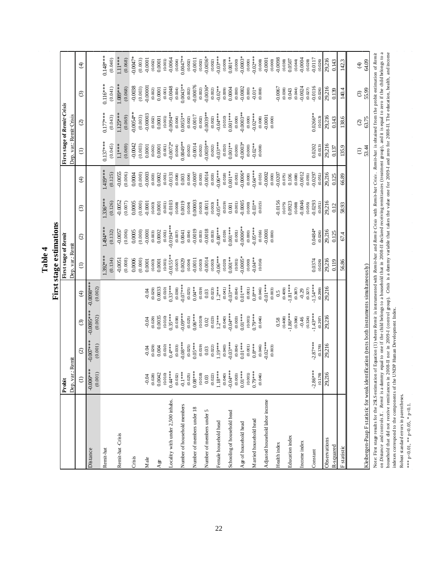|                                                                                                                                                                                                                                                                                                                                                                                                                                   |                       |                        |                         |                       |                             | First stage estimations |                        |                       |                         |                                    |                        |                         |
|-----------------------------------------------------------------------------------------------------------------------------------------------------------------------------------------------------------------------------------------------------------------------------------------------------------------------------------------------------------------------------------------------------------------------------------|-----------------------|------------------------|-------------------------|-----------------------|-----------------------------|-------------------------|------------------------|-----------------------|-------------------------|------------------------------------|------------------------|-------------------------|
|                                                                                                                                                                                                                                                                                                                                                                                                                                   | Probit                |                        |                         |                       | <b>First stage of Remit</b> |                         |                        |                       |                         | <b>First stage of Remit Crisis</b> |                        |                         |
|                                                                                                                                                                                                                                                                                                                                                                                                                                   | : Remit<br>Dep. var.  |                        |                         |                       | Dep. var.: Remit            |                         |                        |                       | Dep. var.: Remit Crisis |                                    |                        |                         |
|                                                                                                                                                                                                                                                                                                                                                                                                                                   | $\ominus$             | $\widehat{\odot}$      | $\odot$                 | $\bigoplus$           | $\ominus$                   | $\odot$                 | $\odot$                | $\bigoplus$           | Ξ                       | $\widehat{\circ}$                  | $\odot$                | $\bigoplus$             |
| Distance                                                                                                                                                                                                                                                                                                                                                                                                                          | $-0.006**$<br>(0.001) | $-0.007***$<br>(0.001) | $-0.0095***$<br>(0.002) | -0.0098***<br>(0.002) |                             |                         |                        |                       |                         |                                    |                        |                         |
| Remit-hat                                                                                                                                                                                                                                                                                                                                                                                                                         |                       |                        |                         |                       | 1.392***<br>(0.134)         | 1.494 ***<br>(0.132)    | $1.336***$<br>(0.126)  | 1.419***<br>(0.125)   | $0.137***$<br>(0.045)   | $0.177***$<br>(0.043)              | $0.116***$<br>(0.041)  | $0.148***$<br>(0.040)   |
| Remit-hat -Crisis                                                                                                                                                                                                                                                                                                                                                                                                                 |                       |                        |                         |                       | $-0.0051$                   | $-0.0057$               | $-0.0052$              | $-0.0055$             | $1.1***$                | 1.125***                           | $1.089***$             | $1.11***$               |
|                                                                                                                                                                                                                                                                                                                                                                                                                                   |                       |                        |                         |                       | (0.008)                     | (0.006)                 | (0.007)                | (0.006)               | (0.069)                 | (0.069)                            | (0.068)                | (0.068)                 |
| Crisis                                                                                                                                                                                                                                                                                                                                                                                                                            |                       |                        |                         |                       | 0.0006<br>(0.000)           | 0.0005<br>(0.000)       | 0.0005<br>(0.000)      | 0.0004<br>(0.000)     | $-0.0042$<br>(0.003)    | $0.0054**$<br>(0.003)              | $-0.0038$<br>(0.003)   | 0.0047*<br>(0.003)      |
| $_{\rm Male}$                                                                                                                                                                                                                                                                                                                                                                                                                     | $-0.04$               | $-0.04$                | $-0.04$                 | $-0.04$               | 0.0001                      | $-0.0001$               | $-0.0001$              | $-0.0003$             | 0.0001                  | $-0.00003$                         | 0.00001                | $-0.0001$               |
| Age                                                                                                                                                                                                                                                                                                                                                                                                                               | (0.028)<br>0.0042     | (0.029)<br>0.004       | 0.0035<br>(0.029)       | 0.0033<br>(0.029)     | (0.003)<br>0.0001           | 0.0002<br>(0.003)       | 0.0001<br>(0.003)      | 0.0002<br>(0.003)     | 0.0001<br>(0.002)       | (0.002)<br>0.0001                  | 0.0001<br>(0.002)      | 0.0001<br>(0.002)       |
| Locality with under 2,500 inhabs.                                                                                                                                                                                                                                                                                                                                                                                                 | (0.010)<br>$0.44***$  | $0.4***$<br>(0.010)    | $0.35***$<br>(0.010)    | $0.33***$<br>(0.010)  | $0.0155***$<br>(0.001)      | $0.0194***$<br>(0.001)  | $-0.0103$<br>(0.001)   | $-0.0131$<br>(0.001)  | $-0.0072*$<br>(0.001)   | $0.0094**$<br>(0.001)              | $-0.0048$<br>(0.001)   | $-0.0064$<br>(0.001)    |
|                                                                                                                                                                                                                                                                                                                                                                                                                                   | (0.032)               | (0.033)                | (0.038)                 | (0.038)               | (0.007)                     | (0.007)                 | (0.008)                | (0.008)               | (0.004)                 | (0.004)                            | (0.004)                | (0.004)                 |
| Number of household members                                                                                                                                                                                                                                                                                                                                                                                                       | $-0.1***$<br>(0.025)  | $0.08***$<br>(0.025)   | $0.09***$<br>(0.025)    | $0.07***$<br>(0.025)  | 0.0029<br>(0.004)           | 0.0041<br>(0.004)       | 0.0019<br>(0.004)      | (0.004)<br>0.003      | $0.0049**$<br>(0.002)   | $0.0053**$<br>(0.002)              | $0.0043***$<br>(0.002) | $0.0047**$<br>(0.002)   |
| Number of members under 18                                                                                                                                                                                                                                                                                                                                                                                                        | $0.08***$             | $0.05***$              | $0.06***$               | $0.04***$             | $-0.0011$                   | $-0.0019$               | 0.00003                | $-0.0007$             | $-0.0014$               | $-0.0017$                          | 0.00076                | $-0.0011$               |
|                                                                                                                                                                                                                                                                                                                                                                                                                                   | (0.018)<br>0.03       | (0.019)                | (6.019)<br>$0.02\,$     | (0.019)               | (0.003)                     | $-0.0018$<br>(0.003)    | (0.003)                | $-0.0014$<br>(0.003)  | $0.0039***$<br>(0.002)  | $-0.0039***$<br>(0.002)            | $0.0036*$<br>(0.002)   | $-0.0036*$<br>(0.002)   |
| Number of members under 5                                                                                                                                                                                                                                                                                                                                                                                                         | (0.022)               | $0.03$<br>$(0.022)$    | (0.023)                 | (0.023)<br>0.03       | $-0.0014$ (0.003)           | (0.003)                 | $-0.0011$<br>$(0.003)$ | (0.003)               | (0.002)                 | (0.002)                            | (0.002)                | (0.002)                 |
| Female household head                                                                                                                                                                                                                                                                                                                                                                                                             | $1.18***$             | 1.19***                | $1.2***$                | $1.2***$              | $-0.06***$                  | $-0.08***$              | $-0.05***$             | $0.06***$             | $-0.03***$              | $-0.04***$                         | $-0.02**$              | $-0.03***$              |
| Schooling of household head                                                                                                                                                                                                                                                                                                                                                                                                       | (0.040)<br>$-0.04***$ | $-0.03***$<br>(0.040)  | $-0.04***$<br>(0.040)   | $-0.03***$<br>(0.041) | $0.001***$<br>(0.020)       | $0.001***$<br>(6.019)   | (0.019)<br>$0.001$     | $0.001***$<br>(0.018) | $0.001***$<br>(0.010)   | $0.001***$<br>(0.010)              | 0.0004<br>(0.009)      | $0.001***$<br>(0.009)   |
|                                                                                                                                                                                                                                                                                                                                                                                                                                   | (0.003)               | (0.004)                | (0.003)                 | (0.004)               | (0.001)                     | (0.001)                 | (0.001)                | (0.001)               | (0.000)                 | (0.000)                            | (0.000)                | (0.000)                 |
| Age of household head                                                                                                                                                                                                                                                                                                                                                                                                             | $0.01***$             | $0.01***$              | $0.01***$               | $0.01***$             | $0.0005*$                   | $0.0006**$              | $-0.0005$              | $-0.0006*$            | $0.0003*$               | $0.0003**$                         | $-0.0002$              | $-0.0003*$              |
| Married household head                                                                                                                                                                                                                                                                                                                                                                                                            | (0.001)<br>$0.79***$  | $0.8***$<br>(0.001)    | $0.79***$<br>(0.001)    | $0.8***$<br>(0.001)   | $-0.04**$<br>(0.000)        | $0.05***$<br>(0.000)    | $-0.03***$<br>(0.000)  | $0.04***$<br>(0.000)  | $-0.02**$<br>(0.000)    | $-0.02***$<br>(0.000)              | $-0.01*$<br>(0.000)    | $-0.02***$<br>(0.000)   |
|                                                                                                                                                                                                                                                                                                                                                                                                                                   | (0.046)               | $-0.02***$<br>(0.046)  | (0.046)                 | $-0.01***$<br>(0.046) | (0.016)                     | (0.016)<br>$-0.0001$    | (0.015)                | $-0.0002$<br>(0.015)  | (0.008)                 | $-0.0001$<br>(0.008)               | (0.008)                | $-0.0001$<br>(0.008)    |
| Adjusted household labor income                                                                                                                                                                                                                                                                                                                                                                                                   |                       | (0.003)                |                         | (0.003)               |                             | (0.000)                 |                        | (0.000)               |                         | (0.000)                            |                        | (0.000)                 |
| Health index                                                                                                                                                                                                                                                                                                                                                                                                                      |                       |                        | (0.408)<br>0.58         | (0.409)<br>0.5        |                             |                         | 0.0156<br>(0.075)      | $-0.0207$<br>(0.075)  |                         |                                    | 0.0067<br>(0.038)      | $-0.0098$<br>(0.038)    |
| Education index                                                                                                                                                                                                                                                                                                                                                                                                                   |                       |                        | $-1.86***$              | $-1.81***$            |                             |                         | 0.0923                 | 0.106                 |                         |                                    | 0.043                  | 0.0507                  |
|                                                                                                                                                                                                                                                                                                                                                                                                                                   |                       |                        | (0.386)                 | (0.387)               |                             |                         | (0.088)                | (0.088)               |                         |                                    | (0.044)                | (0.044)                 |
| Income index                                                                                                                                                                                                                                                                                                                                                                                                                      |                       |                        | $-0.46$<br>(0.324)      | $-0.29$<br>(0.327)    |                             |                         | $-0.0046$<br>(0.055)   | $-0.0012$<br>(0.055)  |                         |                                    | $-0.0024$<br>(0.027)   | $-0.0004$<br>(0.028)    |
| Constant                                                                                                                                                                                                                                                                                                                                                                                                                          | $-2.86***$<br>(0.178) | $-2.87***$<br>(0.178)  | $-1.43***$<br>(0.297)   | $-1.54***$<br>(0.299) | 0.0374<br>(0.026)           | $0.0484*$<br>(0.026)    | 0.0293<br>(0.051)      | $-0.0297$<br>(0.051)  | 0.0202<br>(0.013)       | $0.0266$ **<br>(0.013)             | $-0.0116$<br>(0.026)   | $-0.0117$<br>(0.026)    |
| Observations                                                                                                                                                                                                                                                                                                                                                                                                                      | 29,216                | 29,216                 | 29,216                  | 29,216                | 29,216                      | 29,216                  | 29,216                 | 29,216                | 29,216                  | 29,216                             | 29,216                 | 29,216                  |
| R-squared                                                                                                                                                                                                                                                                                                                                                                                                                         |                       |                        |                         |                       | 0.119                       | 0.125                   | 0.12                   | 0.125                 | 0.137                   | 0.143                              | 0.139                  | 0.143                   |
| F statistic                                                                                                                                                                                                                                                                                                                                                                                                                       |                       |                        |                         |                       | 56.86                       | 67.4                    | 58.93                  | 66.89                 | 135.9                   | 138.6                              | 140.4                  | 142.3                   |
|                                                                                                                                                                                                                                                                                                                                                                                                                                   |                       |                        |                         |                       |                             |                         |                        |                       | $\ominus$               | $\odot$                            | $\odot$                | $\widehat{\mathcal{F}}$ |
| Kleibergen-Paap F statistic for weak identification (tests both instruments simultaneously)                                                                                                                                                                                                                                                                                                                                       |                       |                        |                         |                       |                             |                         |                        |                       | 53.44                   | 63.75                              | 55.99                  | 64.09                   |
| Note: First stage results for the 2SLS estimation of Equation (1) where Remit is instrumented with Remit-hat Orisis with Remit-hat Crisis. Remit-hat is obtained from the probit estimation of Remit<br>on Distance and controls $X$ <i>Remit</i> is a dummy equal to one if the child belongs to a household that in 2008-II declared receiving remittances (treatment ground) and it is equal to zero if the child belongs to a |                       |                        |                         |                       |                             |                         |                        |                       |                         |                                    |                        |                         |

on *Distance a*nd controls X . *Remit* is a dummy equal to one if the child belongs to a household that in 2008-II declared receiving remittances (treatment group), and it is equal to zero if the child belongs to a<br>househo on Distance and controls X . Remit is a dummy equal to one if the child belongs to a household that in 2008-II declared receiving remittances (treatment group), and it is equal to zero if the child belongs to a household that did not receive remittances in 2008-II nor in 2009-I (control group). *Crisis* is a dummy variable that takes the value one for 2009-I and zero for 2008-II. The education, health, and income indexes correspond to the components of the UNDP Human Development Index. Robust standard errors in parentheses.

Robust standard errors in parentheses. \*\*\*  $p$ <0.01, \*\*  $p$ <0.05, \*  $p$ <0.1. \*\*\* p<0.01, \*\* p<0.05, \* p<0.1.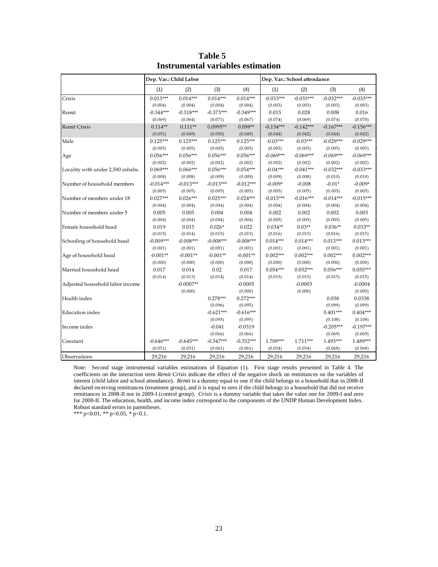|                                   | Dep. Var.: Child Labor |             |             |             |             | Dep. Var.: School attendance |             |             |
|-----------------------------------|------------------------|-------------|-------------|-------------|-------------|------------------------------|-------------|-------------|
|                                   | (1)                    | (2)         | (3)         | (4)         | (1)         | (2)                          | (3)         | (4)         |
| Crisis                            | $0.013***$             | $0.014***$  | $0.014***$  | $0.014***$  | $-0.033***$ | $-0.033***$                  | $-0.032***$ | $-0.033***$ |
|                                   | (0.004)                | (0.004)     | (0.004)     | (0.004)     | (0.003)     | (0.003)                      | (0.003)     | (0.003)     |
| Remit                             | $-0.344***$            | $-0.318***$ | $-0.373***$ | $-0.349***$ | 0.015       | 0.028                        | 0.008       | 0.016       |
|                                   | (0.069)                | (0.064)     | (0.071)     | (0.067)     | (0.074)     | (0.069)                      | (0.074)     | (0.070)     |
| <b>Remit Crisis</b>               | $0.114**$              | $0.111**$   | $0.0995**$  | $0.098**$   | $-0.154***$ | $-0.142***$                  | $-0.167***$ | $-0.156***$ |
|                                   | (0.051)                | (0.049)     | (0.050)     | (0.049)     | (0.044)     | (0.042)                      | (0.044)     | (0.042)     |
| Male                              | $0.125***$             | $0.125***$  | $0.125***$  | $0.125***$  | $-0.03***$  | $-0.03***$                   | $-0.029***$ | $-0.029***$ |
|                                   | (0.005)                | (0.005)     | (0.005)     | (0.005)     | (0.005)     | (0.005)                      | (0.005)     | (0.005)     |
| Age                               | $0.056***$             | $0.056***$  | $0.056***$  | $0.056***$  | $-0.069***$ | $-0.069***$                  | $-0.069***$ | $-0.069***$ |
|                                   | (0.002)                | (0.002)     | (0.002)     | (0.002)     | (0.002)     | (0.002)                      | (0.002)     | (0.002)     |
| Locality with under 2,500 inhabs. | $0.069***$             | $0.066***$  | $0.056***$  | $0.054***$  | $-0.04***$  | $-0.041***$                  | $-0.032***$ | $-0.033***$ |
|                                   | (0.008)                | (0.008)     | (0.009)     | (0.009)     | (0.009)     | (0.008)                      | (0.010)     | (0.010)     |
| Number of household members       | $-0.014***$            | $-0.013***$ | $-0.013***$ | $-0.012***$ | $-0.009*$   | $-0.008$                     | $-0.01*$    | $-0.009*$   |
|                                   | (0.005)                | (0.005)     | (0.005)     | (0.005)     | (0.005)     | (0.005)                      | (0.005)     | (0.005)     |
| Number of members under 18        | $0.027***$             | $0.026***$  | $0.025***$  | $0.024***$  | $-0.015***$ | $-0.016***$                  | $-0.014***$ | $-0.015***$ |
|                                   | (0.004)                | (0.004)     | (0.004)     | (0.004)     | (0.004)     | (0.004)                      | (0.004)     | (0.004)     |
| Number of members under 5         | 0.005                  | 0.005       | 0.004       | 0.004       | 0.002       | 0.002                        | 0.002       | 0.003       |
|                                   | (0.004)                | (0.004)     | (0.004)     | (0.004)     | (0.005)     | (0.005)                      | (0.005)     | (0.005)     |
| Female household head             | 0.019                  | 0.015       | $0.026*$    | 0.022       | $0.034**$   | $0.03**$                     | $0.036**$   | $0.033**$   |
|                                   | (0.015)                | (0.014)     | (0.015)     | (0.015)     | (0.016)     | (0.015)                      | (0.016)     | (0.015)     |
| Schooling of household head       | $-0.009***$            | $-0.008***$ | $-0.008***$ | $-0.008***$ | $0.014***$  | $0.014***$                   | $0.013***$  | $0.013***$  |
|                                   | (0.001)                | (0.001)     | (0.001)     | (0.001)     | (0.001)     | (0.001)                      | (0.001)     | (0.001)     |
| Age of household head             | $-0.001**$             | $-0.001**$  | $-0.001**$  | $-0.001**$  | $0.002***$  | $0.002***$                   | $0.002***$  | $0.002***$  |
|                                   | (0.000)                | (0.000)     | (0.000)     | (0.000)     | (0.000)     | (0.000)                      | (0.000)     | (0.000)     |
| Married household head            | 0.017                  | 0.014       | 0.02        | 0.017       | $0.054***$  | $0.052***$                   | $0.056***$  | $0.055***$  |
|                                   | (0.014)                | (0.013)     | (0.014)     | (0.014)     | (0.015)     | (0.015)                      | (0.015)     | (0.015)     |
| Adjusted household labor income   |                        | $-0.0007**$ |             | $-0.0005$   |             | $-0.0003$                    |             | $-0.0004$   |
|                                   |                        | (0.000)     |             | (0.000)     |             | (0.000)                      |             | (0.000)     |
| Health index                      |                        |             | $0.278***$  | $0.272***$  |             |                              | 0.038       | 0.0338      |
|                                   |                        |             | (0.096)     | (0.095)     |             |                              | (0.099)     | (0.099)     |
| Education index                   |                        |             | $-0.621***$ | $-0.616***$ |             |                              | $0.401***$  | $0.404***$  |
|                                   |                        |             | (0.095)     | (0.095)     |             |                              | (0.108)     | (0.108)     |
| Income index                      |                        |             | $-0.041$    | $-0.0319$   |             |                              | $-0.205***$ | $-0.197***$ |
|                                   |                        |             | (0.066)     | (0.066)     |             |                              | (0.069)     | (0.069)     |
| Constant                          | $-0.646***$            | $-0.645***$ | $-0.347***$ | $-0.352***$ | 1.709***    | 1.711***                     | $1.493***$  | 1.489***    |
|                                   | (0.031)                | (0.031)     | (0.061)     | (0.061)     | (0.034)     | (0.034)                      | (0.068)     | (0.068)     |
| Observations                      | 29,216                 | 29,216      | 29,216      | 29,216      | 29,216      | 29,216                       | 29,216      | 29,216      |

**Table 5 Instrumental variables estimation**

Note: Second stage instrumental variables estimations of Equation (1). First stage results presented in Table 4. The coefficients on the interaction term *Remit·Crisis* indicate the effect of the negative shock on remittances on the variables of interest (child labor and school attendance). *Remit* is a dummy equal to one if the child belongs to a household that in 2008-II declared receiving remittances (treatment group), and it is equal to zero if the child belongs to a household that did not receive remittances in 2008-II nor in 2009-I (control group). *Crisis* is a dummy variable that takes the value one for 2009-I and zero for 2008-II. The education, health, and income index correspond to the components of the UNDP Human Development Index. Robust standard errors in parentheses.

\*\*\* p<0.01, \*\* p<0.05, \* p<0.1.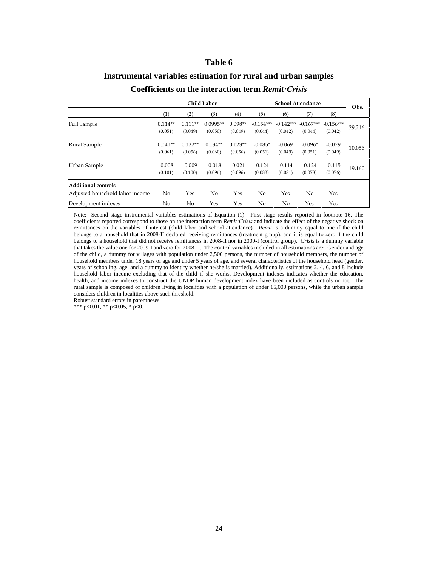#### **Instrumental variables estimation for rural and urban samples**

|                                                                               |                      |                      | <b>Child Labor</b>    |                      | <b>School Attendance</b> |                        |                        |                        | Obs.   |
|-------------------------------------------------------------------------------|----------------------|----------------------|-----------------------|----------------------|--------------------------|------------------------|------------------------|------------------------|--------|
|                                                                               | (1)                  | (2)                  | (3)                   | $\left( 4\right)$    | (5)                      | (6)                    | (7)                    | (8)                    |        |
| Full Sample                                                                   | $0.114**$<br>(0.051) | $0.111**$<br>(0.049) | $0.0995**$<br>(0.050) | $0.098**$<br>(0.049) | $-0.154***$<br>(0.044)   | $-0.142***$<br>(0.042) | $-0.167***$<br>(0.044) | $-0.156***$<br>(0.042) | 29,216 |
| Rural Sample                                                                  | $0.141**$<br>(0.061) | $0.122**$<br>(0.056) | $0.134**$<br>(0.060)  | $0.123**$<br>(0.056) | $-0.085*$<br>(0.051)     | $-0.069$<br>(0.049)    | $-0.096*$<br>(0.051)   | $-0.079$<br>(0.049)    | 10,056 |
| Urban Sample                                                                  | $-0.008$<br>(0.101)  | $-0.009$<br>(0.100)  | $-0.018$<br>(0.096)   | $-0.021$<br>(0.096)  | $-0.124$<br>(0.083)      | $-0.114$<br>(0.081)    | $-0.124$<br>(0.078)    | $-0.115$<br>(0.076)    | 19,160 |
| Additional controls<br>Adjusted household labor income<br>Development indexes | No<br>No             | Yes<br>No            | No<br>Yes             | Yes<br>Yes           | No<br>No                 | Yes<br>No              | No<br>Yes              | Yes<br>Yes             |        |

#### **Coefficients on the interaction term** *Remit·Crisis*

Note: Second stage instrumental variables estimations of Equation (1). First stage results reported in footnote 16. The coefficients reported correspond to those on the interaction term *Remit·Crisis* and indicate the effect of the negative shock on remittances on the variables of interest (child labor and school attendance). *Remit* is a dummy equal to one if the child belongs to a household that in 2008-II declared receiving remittances (treatment group), and it is equal to zero if the child belongs to a household that did not receive remittances in 2008-II nor in 2009-I (control group). *Crisis* is a dummy variable that takes the value one for 2009-I and zero for 2008-II. The control variables included in all estimations are: Gender and age of the child, a dummy for villages with population under 2,500 persons, the number of household members, the number of household members under 18 years of age and under 5 years of age, and several characteristics of the household head (gender, years of schooling, age, and a dummy to identify whether he/she is married). Additionally, estimations 2, 4, 6, and 8 include household labor income excluding that of the child if she works. Development indexes indicates whether the education, health, and income indexes to construct the UNDP human development index have been included as controls or not. The rural sample is composed of children living in localities with a population of under 15,000 persons, while the urban sample considers children in localities above such threshold.

Robust standard errors in parentheses.

\*\*\*  $p<0.01$ , \*\*  $p<0.05$ , \*  $p<0.1$ .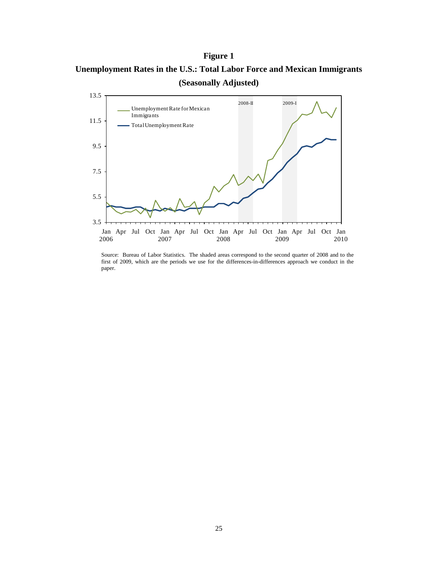#### **Figure 1**

**Unemployment Rates in the U.S.: Total Labor Force and Mexican Immigrants (Seasonally Adjusted)**



Source: Bureau of Labor Statistics. The shaded areas correspond to the second quarter of 2008 and to the first of 2009, which are the periods we use for the differences-in-differences approach we conduct in the paper.